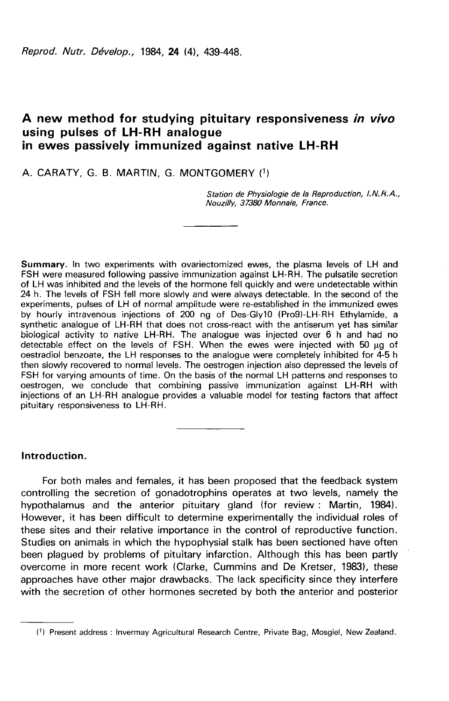Reprod. Nutr. Dévelop., 1984, 24 (4), 439-448.

# A new method for studying pituitary responsiveness in vivo using pulses of LH-RH analogue in ewes passively immunized against native LH-RH

# A. CARATY, G. B. MARTIN, G. MONTGOMERY (1)

Station de Physiologie de la Reproduction, l.N.R.A., Nouzilly, 37380 Monnaie, France.

Summary. In two experiments with ovariectomized ewes, the plasma levels of LH and FSH were measured following passive immunization against LH-RH. The pulsatile secretion of LH was inhibited and the levels of the hormone fell quickly and were undetectable within 24 h. The levels of FSH fell more slowly and were always detectable. In the second of the experiments, pulses of LH of normal amplitude were re-established in the immunized ewes by hourly intravenous injections of 200 ng of Des-Gly10 (Pro9)-LH-RH Ethylamide, a synthetic analogue of LH-RH that does not cross-react with the antiserum yet has similar biological activity to native LH-RH. The analogue was injected over 6 h and had no detectable effect on the levels of FSH. When the ewes were injected with 50 µg of oestradiol benzoate, the LH responses to the analogue were completely inhibited for 4-5 h then slowly recovered to normal levels. The oestrogen injection also depressed the levels of FSH for varying amounts of time. On the basis of the normal LH patterns and responses to oestrogen, we conclude that combining passive immunization against LH-RH with injections of an LH-RH analogue provides a valuable model for testing factors that affect pituitary responsiveness to LH-RH.

### Introduction.

For both males and females, it has been proposed that the feedback system controlling the secretion of gonadotrophins operates at two levels, namely the hypothalamus and the anterior pituitary gland (for review : Martin, 1984). However, it has been difficult to determine experimentally the individual roles of these sites and their relative importance in the control of reproductive function. Studies on animals in which the hypophysial stalk has been sectioned have often been plagued by problems of pituitary infarction. Although this has been partly overcome in more recent work (Clarke, Cummins and De Kretser, 1983), these approaches have other major drawbacks. The lack specificity since they interfere with the secretion of other hormones secreted by both the anterior and posterior

<sup>(1)</sup> Present address : Invermay Agricultural Research Centre, Private Bag, Mosgiel, New Zealand.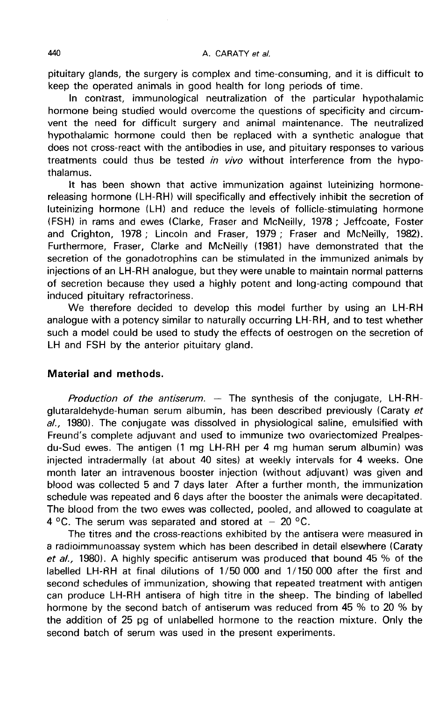pituitary glands, the surgery is complex and time-consuming, and it is difficult to keep the operated animals in good health for long periods of time.

In contrast, immunological neutralization of the particular hypothalamic hormone being studied would overcome the questions of specificity and circumvent the need for difficult surgery and animal maintenance. The neutralized hypothalamic hormone could then be replaced with a synthetic analogue that does not cross-react with the antibodies in use, and pituitary responses to various treatments could thus be tested in vivo without interference from the hypothalamus.

It has been shown that active immunization against luteinizing hormonereleasing hormone (LH-RH) will specifically and effectively inhibit the secretion of luteinizing hormone (LH) and reduce the levels of follicle-stimulating hormone (FSH) in rams and ewes (Clarke, Fraser and McNeilly, 1978 ; Jeffcoate, Foster and Crighton, 1978 ; Lincoln and Fraser, 1979 ; Fraser and McNeilly, 1982). Furthermore, Fraser, Clarke and McNeilly (1981) have demonstrated that the secretion of the gonadotrophins can be stimulated in the immunized animals by injections of an LH-RH analogue, but they were unable to maintain normal patterns of secretion because they used a highly potent and long-acting compound that induced pituitary refractoriness.

We therefore decided to develop this model further by using an LH-RH analogue with a potency similar to naturally occurring LH-RH, and to test whether such a model could be used to study the effects of oestrogen on the secretion of LH and FSH by the anterior pituitary gland.

### Material and methods.

Production of the antiserum.  $-$  The synthesis of the conjugate, LH-RHglutaraldehyde-human serum albumin, has been described previously (Caraty et  $a$ ., 1980). The conjugate was dissolved in physiological saline, emulsified with Freund's complete adjuvant and used to immunize two ovariectomized Prealpesdu-Sud ewes. The antigen (1 mg LH-RH per 4 mg human serum albumin) was injected intradermally (at about 40 sites) at weekly intervals for 4 weeks. One month later an intravenous booster injection (without adjuvant) was given and blood was collected 5 and 7 days later After a further month, the immunization schedule was repeated and 6 days after the booster the animals were decapitated. The blood from the two ewes was collected, pooled, and allowed to coagulate at 4 °C. The serum was separated and stored at  $-20$  °C.

The titres and the cross-reactions exhibited by the antisera were measured in a radioimmunoassay system which has been described in detail elsewhere (Caraty et al., 1980). A highly specific antiserum was produced that bound 45 % of the labelled LH-RH at final dilutions of 1/50 000 and 1/150 000 after the first and second schedules of immunization, showing that repeated treatment with antigen can produce LH-RH antisera of high titre in the sheep. The binding of labelled hormone by the second batch of antiserum was reduced from 45 % to 20 % by the addition of 25 pg of unlabelled hormone to the reaction mixture. Only the second batch of serum was used in the present experiments.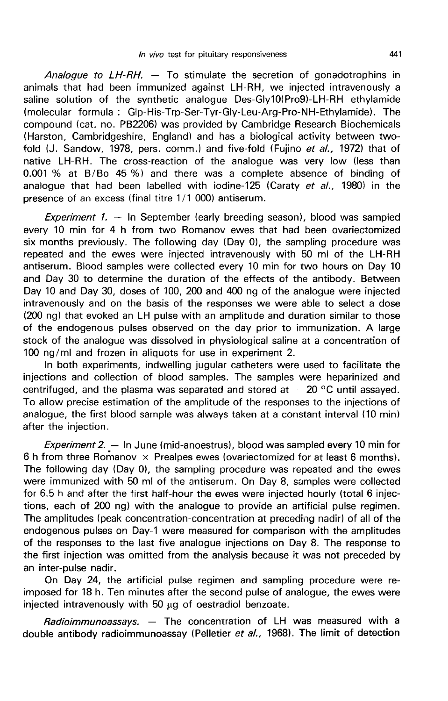Analogue to  $LH$ -RH.  $-$  To stimulate the secretion of gonadotrophins in animals that had been immunized against LH-RH, we injected intravenously a saline solution of the synthetic analogue Des-Gly10(Pro9)-LH-RH ethylamide (molecular formula : Glp-His-Trp-Ser-Tyr-Gly-Leu-Arg-Pro-NH-Ethylamide). The compound (cat. no. PB2206) was provided by Cambridge Research Biochemicals (Harston, Cambridgeshire, England) and has a biological activity between twofold (J. Sandow, 1978, pers. comm.) and five-fold (Fujino et al., 1972) that of native LH-RH. The cross-reaction of the analogue was very low (less than 0.001 % at B/Bo 45 %) and there was a complete absence of binding of analogue that had been labelled with iodine-125 (Caraty et al., 1980) in the presence of an excess (final titre 1/1 000) antiserum.

Experiment 1.  $-$  In September (early breeding season), blood was sampled every 10 min for 4 h from two Romanov ewes that had been ovariectomized six months previously. The following day (Day 0), the sampling procedure was repeated and the ewes were injected intravenously with 50 ml of the LH-RH antiserum. Blood samples were collected every 10 min for two hours on Day 10 and Day 30 to determine the duration of the effects of the antibody. Between Day 10 and Day 30, doses of 100, 200 and 400 ng of the analogue were injected intravenously and on the basis of the responses we were able to select a dose (200 ng) that evoked an LH pulse with an amplitude and duration similar to those of the endogenous pulses observed on the day prior to immunization. A large stock of the analogue was dissolved in physiological saline at a concentration of 100 ng/ml and frozen in aliquots for use in experiment 2.

In both experiments, indwelling jugular catheters were used to facilitate the injections and collection of blood samples. The samples were heparinized and centrifuged, and the plasma was separated and stored at  $-20$  °C until assayed. To allow precise estimation of the amplitude of the responses to the injections of analogue, the first blood sample was always taken at a constant interval (10 min) after the injection.

Experiment 2.  $-$  In June (mid-anoestrus), blood was sampled every 10 min for 6 h from three Romanov  $\times$  Prealpes ewes (ovariectomized for at least 6 months). The following day (Day 0), the sampling procedure was repeated and the ewes were immunized with 50 ml of the antiserum. On Day 8, samples were collected for 6.5 h and after the first half-hour the ewes were injected hourly (total 6 injections, each of 200 ng) with the analogue to provide an artificial pulse regimen. The amplitudes (peak concentration-concentration at preceding nadir) of all of the endogenous pulses on Day-1 were measured for comparison with the amplitudes of the responses to the last five analogue injections on Day 8. The response to the first injection was omitted from the analysis because it was not preceded by an inter-pulse nadir.

On Day 24, the artificial pulse regimen and sampling procedure were reimposed for 18 h. Ten minutes after the second pulse of analogue, the ewes were injected intravenously with 50 yg of oestradiol benzoate.

Radioimmunoassays. - The concentration of LH was measured with a double antibody radioimmunoassay (Pelletier et al., 1968). The limit of detection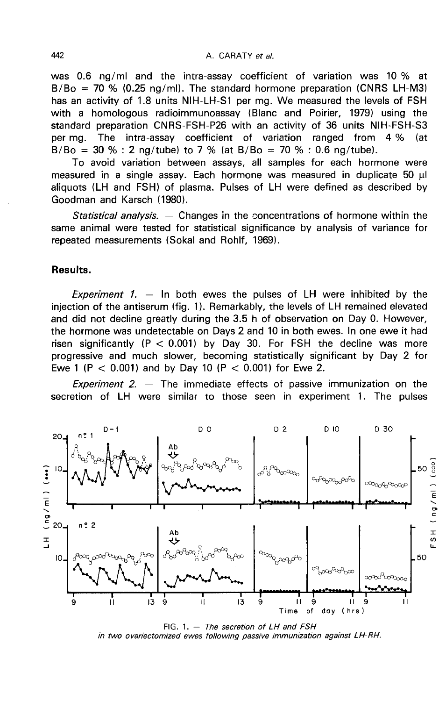was 0.6 ng/ml and the intra-assay coefficient of variation was 10 % at  $B/Bo = 70 % (0.25 nq/ml)$ . The standard hormone preparation (CNRS LH-M3) has an activity of 1.8 units NIH-LH-S1 per mg. We measured the levels of FSH with a homologous radioimmunoassay (Blanc and Poirier, 1979) using the standard preparation CNRS-FSH-P26 with an activity of 36 units NIH-FSH-S3 per mg. The intra-assay coefficient of variation ranged from  $4\%$  $B/Bo = 30 % : 2 ng/tube$  to 7 % (at  $B/Bo = 70 % : 0.6 ng/tube$ ).

To avoid variation between assays, all samples for each hormone were measured in a single assay. Each hormone was measured in duplicate  $50 \mu l$ aliquots (LH and FSH) of plasma. Pulses of LH were defined as described by Goodman and Karsch (1980).

Statistical analysis. — Changes in the concentrations of hormone within the same animal were tested for statistical significance by analysis of variance for repeated measurements (Sokal and Rohlf, 1969).

# Results.

Experiment 1.  $-$  In both ewes the pulses of LH were inhibited by the injection of the antiserum (fig. 1). Remarkably, the levels of LH remained elevated and did not decline greatly during the 3.5 h of observation on Day 0. However, the hormone was undetectable on Days 2 and 10 in both ewes. In one ewe it had risen significantly  $(P < 0.001)$  by Day 30. For FSH the decline was more progressive and much slower, becoming statistically significant by Day 2 for Ewe 1 (P < 0.001) and by Day 10 (P < 0.001) for Ewe 2.

*Experiment 2.*  $-$  The immediate effects of passive immunization on the secretion of LH were similar to those seen in experiment 1. The pulses



FIG. 1.  $-$  The secretion of LH and FSH in two ovariectomized ewes following passive immunization against LH-RH.

442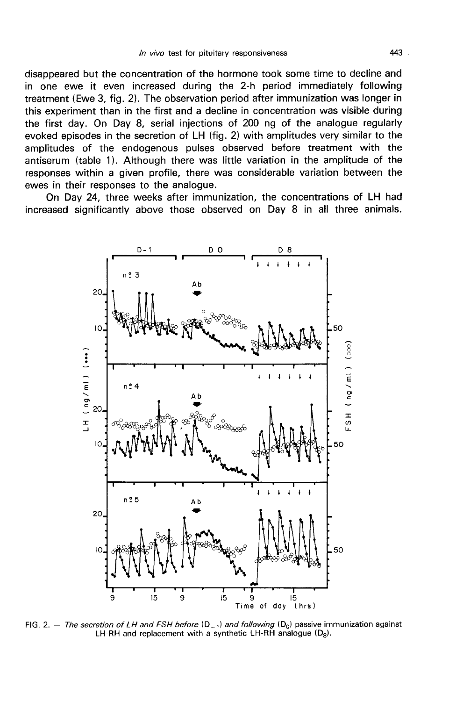disappeared but the concentration of the hormone took some time to decline and in one ewe it even increased during the 2-h period immediately following treatment (Ewe 3, fig. 2). The observation period after immunization was longer in this experiment than in the first and a decline in concentration was visible during the first day. On Day 8, serial injections of 200 ng of the analogue regularly evoked episodes in the secretion of LH (fig. 2) with amplitudes very similar to the amplitudes of the endogenous pulses observed before treatment with the antiserum (table 11. Although there was little variation in the amplitude of the responses within a given profile, there was considerable variation between the ewes in their responses to the analogue.

On Day 24, three weeks after immunization, the concentrations of LH had increased significantly above those observed on Day 8 in all three animals.



FIG. 2. - The secretion of LH and FSH before  $(D_1)$  and following  $(D_0)$  passive immunization against LH-RH and replacement with a synthetic LH-RH analogue  $(D_8)$ .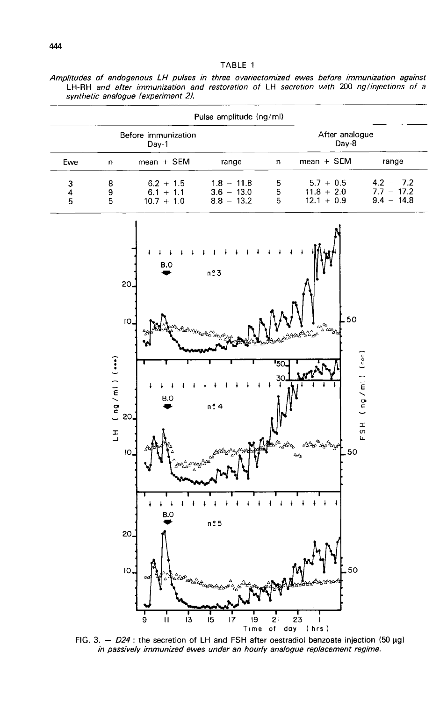|  |  |  | TABLE | 1 |
|--|--|--|-------|---|
|--|--|--|-------|---|

| Amplitudes of endogenous LH pulses in three ovariectomized ewes before immunization against |  |  |  |  |  |  |  |                                                                                          |  |
|---------------------------------------------------------------------------------------------|--|--|--|--|--|--|--|------------------------------------------------------------------------------------------|--|
|                                                                                             |  |  |  |  |  |  |  | LH-RH and after immunization and restoration of LH secretion with 200 ng/injections of a |  |
| synthetic analogue (experiment 2).                                                          |  |  |  |  |  |  |  |                                                                                          |  |

| Pulse amplitude (ng/ml) |   |              |              |   |                |              |  |  |  |  |
|-------------------------|---|--------------|--------------|---|----------------|--------------|--|--|--|--|
| Before immunization     |   |              |              |   | After analogue |              |  |  |  |  |
| Day-1                   |   |              |              |   | Day-8          |              |  |  |  |  |
| Ewe                     | n | $mean + SEM$ | range        | n | $mean + SEM$   | range        |  |  |  |  |
| 3                       | 8 | $6.2 + 1.5$  | $1.8 - 11.8$ | 5 | $5.7 + 0.5$    | $4.2 - 7.2$  |  |  |  |  |
| 4                       | 9 | $6.1 + 1.1$  | $3.6 - 13.0$ | 5 | $11.8 + 2.0$   | $7.7 - 17.2$ |  |  |  |  |
| 5                       | 5 | $10.7 + 1.0$ | $8.8 - 13.2$ | 5 | $12.1 + 0.9$   | $9.4 - 14.8$ |  |  |  |  |



FIG. 3.  $-$  D24 : the secretion of LH and FSH after oestradiol benzoate injection (50  $\mu$ g) *in passively immunized ewes under an hourly analogue replacement regime.*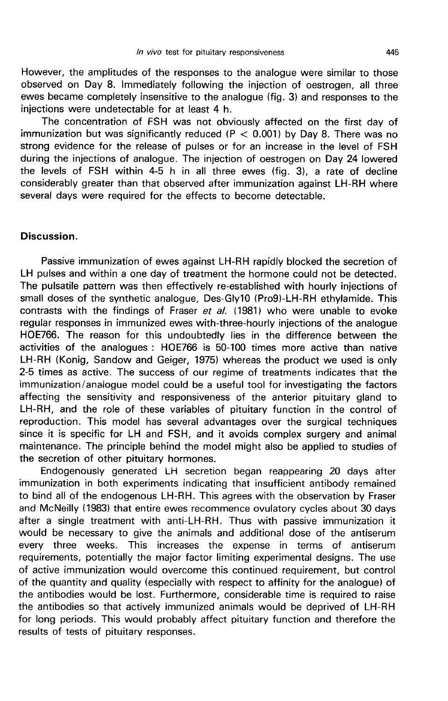However, the amplitudes of the responses to the analogue were similar to those observed on Day 8. Immediately following the injection of oestrogen, all three ewes became completely insensitive to the analogue (fig. 3) and responses to the injections were undetectable for at least 4 h.

The concentration of FSH was not obviously affected on the first day of immunization but was significantly reduced ( $P < 0.001$ ) by Day 8. There was no strong evidence for the release of pulses or for an increase in the level of FSH during the injections of analogue. The injection of oestrogen on Day 24 lowered the levels of FSH within 4-5 h in all three ewes (fig. 3), a rate of decline considerably greater than that observed after immunization against LH-RH where several days were required for the effects to become detectable.

#### Discussion.

Passive immunization of ewes against LH-RH rapidly blocked the secretion of LH pulses and within a one day of treatment the hormone could not be detected. The pulsatile pattern was then effectively re-established with hourly injections of small doses of the synthetic analogue, Des-Gly10 (Pro9)-LH-RH ethylamide. This contrasts with the findings of Fraser et al. (1981) who were unable to evoke regular responses in immunized ewes with-three-hourly injections of the analogue HOE766. The reason for this undoubtedly lies in the difference between the activities of the analogues : HOE766 is 50-100 times more active than native LH-RH (Konig, Sandow and Geiger, 1975) whereas the product we used is only 2-5 times as active. The success of our regime of treatments indicates that the immunization/analogue model could be a useful tool for investigating the factors affecting the sensitivity and responsiveness of the anterior pituitary gland to LH-RH, and the role of these variables of pituitary function in the control of reproduction. This model has several advantages over the surgical techniques since it is specific for LH and FSH, and it avoids complex surgery and animal maintenance. The principle behind the model might also be applied to studies of the secretion of other pituitary hormones.

Endogenously generated LH secretion began reappearing 20 days after immunization in both experiments indicating that insufficient antibody remained to bind all of the endogenous LH-RH. This agrees with the observation by Fraser and McNeilly (1983) that entire ewes recommence ovulatory cycles about 30 days after a single treatment with anti-LH-RH. Thus with passive immunization it would be necessary to give the animals and additional dose of the antiserum every three weeks. This increases the expense in terms of antiserum requirements, potentially the major factor limiting experimental designs. The use of active immunization would overcome this continued requirement, but control of the quantity and quality (especially with respect to affinity for the analogue) of the antibodies would be lost. Furthermore, considerable time is required to raise the antibodies so that actively immunized animals would be deprived of LH-RH for long periods. This would probably affect pituitary function and therefore the results of tests of pituitary responses.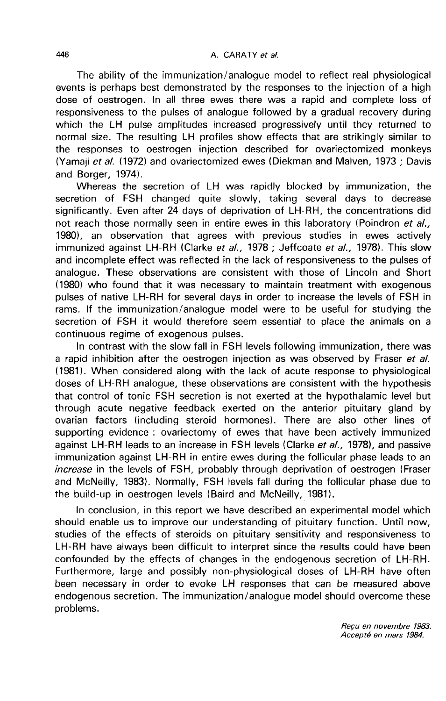The ability of the immunization/analogue model to reflect real physiological events is perhaps best demonstrated by the responses to the injection of a high dose of oestrogen. In all three ewes there was a rapid and complete loss of responsiveness to the pulses of analogue followed by a gradual recovery during which the LH pulse amplitudes increased progressively until they returned to normal size. The resulting LH profiles show effects that are strikingly similar to the responses to oestrogen injection described for ovariectomized monkeys (Yamaji et al. (1972) and ovariectomized ewes (Diekman and Malven, 1973 ; Davis and Borger, 1974).

Whereas the secretion of LH was rapidly blocked by immunization, the secretion of FSH changed quite slowly, taking several days to decrease significantly. Even after 24 days of deprivation of LH-RH, the concentrations did not reach those normally seen in entire ewes in this laboratory (Poindron et al., 1980), an observation that agrees with previous studies in ewes actively immunized against LH-RH (Clarke et al., 1978 ; Jeffcoate et al., 1978). This slow and incomplete effect was reflected in the lack of responsiveness to the pulses of analogue. These observations are consistent with those of Lincoln and Short (1980) who found that it was necessary to maintain treatment with exogenous pulses of native LH-RH for several days in order to increase the levels of FSH in rams. If the immunization/analogue model were to be useful for studying the secretion of FSH it would therefore seem essential to place the animals on a continuous regime of exogenous pulses.

In contrast with the slow fall in FSH levels following immunization, there was a rapid inhibition after the oestrogen injection as was observed by Fraser et al. (1981). When considered along with the lack of acute response to physiological doses of LH-RH analogue, these observations are consistent with the hypothesis that control of tonic FSH secretion is not exerted at the hypothalamic level but through acute negative feedback exerted on the anterior pituitary gland by ovarian factors (including steroid hormones). There are also other lines of supporting evidence : ovariectomy of ewes that have been actively immunized against LH-RH leads to an increase in FSH levels (Clarke et al., 1978), and passive immunization against LH-RH in entire ewes during the follicular phase leads to an increase in the levels of FSH, probably through deprivation of oestrogen (Fraser and McNeilly, 1983). Normally, FSH levels fall during the follicular phase due to the build-up in oestrogen levels (Baird and McNeilly, 1981).

In conclusion, in this report we have described an experimental model which should enable us to improve our understanding of pituitary function. Until now, studies of the effects of steroids on pituitary sensitivity and responsiveness to LH-RH have always been difficult to interpret since the results could have been confounded by the effects of changes in the endogenous secretion of LH-RH. Furthermore, large and possibly non-physiological doses of LH-RH have often been necessary in order to evoke LH responses that can be measured above endogenous secretion. The immunization/analogue model should overcome these problems.

> Reçu en novembre 1983. Accepte en mars 1984.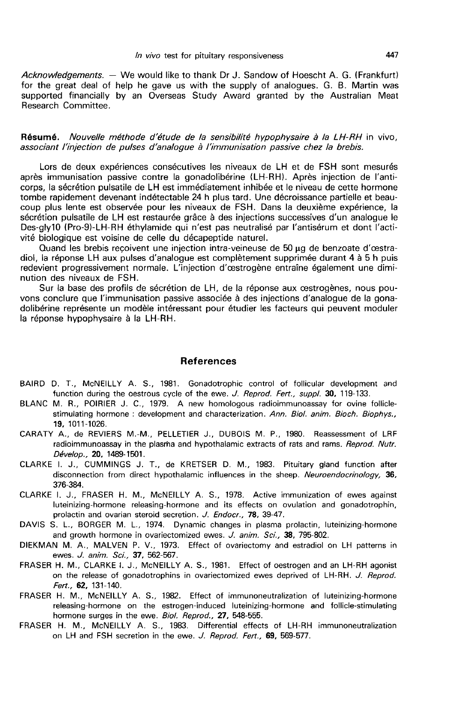Acknowledgements. — We would like to thank Dr J. Sandow of Hoescht A. G. (Frankfurt) for the great deal of help he gave us with the supply of analogues. G. B. Martin was supported financially by an Overseas Study Award granted by the Australian Meat Research Committee. Acknowledgements. — We would like to thank Dr J. Sandow of Hoescht A. G. (F<br>for the great deal of help he gave us with the supply of analogues. G. B. Ma<br>supported financially by an Overseas Study Award granted by the Austr

Résumé. Nouvelle méthode d'étude de la sensibilité hypophysaire à la LH-RH in vivo,<br>associant l'injection de pulses d'analoque à l'immunisation passive chez la brebis.

Lors de deux expériences consécutives les niveaux de LH et de FSH sont mesurés après immunisation passive contre la gonadolibérine (LH-RH). Après injection de l'anticorps, la sécrétion pulsatile de LH est immédiatement inhibée et le niveau de cette hormone tombe rapidement devenant indétectable 24 h plus tard. Une décroissance partielle et beaucoup plus lente est observée pour les niveaux de FSH. Dans la deuxième expérience, la sécrétion pulsatile de LH est restaurée grâce à des injections successives d'un analogue le Des-gly10 (Pro-9)-LH-RH éthylamide qui n'est pas neutralisé par l'antisérum et dont l'activité biologique est voisine de celle du décapeptide naturel.

Quand les brebis recoivent une injection intra-veineuse de 50 ug de benzoate d'oestradiol, la réponse LH aux pulses d'analogue est complètement supprimée durant 4 à 5 h puis redevient progressivement normale. L'injection d'oestrogène entraîne également une diminution des niveaux de FSH.

Sur la base des profils de sécrétion de LH, de la réponse aux cestrogènes, nous pouvons conclure que l'immunisation passive associée à des injections d'analogue de la gonadolibérine représente un modèle intéressant pour étudier les facteurs qui peuvent moduler la réponse hypophysaire à la LH-RH.

#### References

- BAIRD D. T., McNEILLY A. S., 1981. Gonadotrophic control of follicular development and function during the oestrous cycle of the ewe. J. Reprod. Fert., suppl. 30, 119-133.
- BLANC M. R., POIRIER J. C., 1979. A new homologous radioimmunoassay for ovine folliclestimulating hormone : development and characterization. Ann. Biol. anim. Bioch. Biophys., 19, 1011-1026.
- CARATY A., de REVIERS M.-M., PELLETIER J., DUBOIS M. P., 1980. Reassessment of LRF radioimmunoassay in the plasma and hypothalamic extracts of rats and rams. Reprod. Nutr.<br>Dévelop., 20, 1489-1501. Sumulating normone: de<br> **19,** 1011-1026.<br>
A., de REVIERS M.-N<br>
radioimmunoassay in the<br> *Dévelop.,* **20,** 1489-1501.<br>
I. J., CUMMINGS J.
- CLARKE I. J., CUMMINGS J. T., de KRETSER D. M., 1983. Pituitary gland function after disconnection from direct hypothalamic influences in the sheep. Neuroendocrinology, 36, 376-384.
- CLARKE I. J., FRASER H. M., McNEILLY A. S., 1978. Active immunization of ewes against luteinizing-hormone releasing-hormone and its effects on ovulation and gonadotrophin, prolactin and ovarian steroid secretion. J. Endocr., 78, 39-47.
- DAVIS S. L., BORGER M. L., 1974. Dynamic changes in plasma prolactin, luteinizing-hormone and growth hormone in ovariectomized ewes. J. anim. Sci., 38, 795-802.
- DIEKMAN M. A., MALVEN P. V., 1973. Effect of ovariectomy and estradiol on LH patterns in ewes. J. anim. Sci., 37, 562-567.
- FRASER H. M., CLARKE I. J., McNEILLY A. S., 1981. Effect of oestrogen and an LH-RH agonist on the release of gonadotrophins in ovariectomized ewes deprived of LH-RH. J. Reprod. Fert., 62, 131-140.
- FRASER H. M., McNEILLY A. S., 1982. Effect of immunoneutralization of luteinizing-hormone releasing-hormone on the estrogen-induced luteinizing-hormone and follicle-stimulating hormone surges in the ewe. Biol. Reprod., 27, 548-555.
- FRASER H. M., McNEILLY A. S., 1983. Differential effects of LH-RH immunoneutralization on LH and FSH secretion in the ewe. J. Reprod. Fert., 69, 569-577.